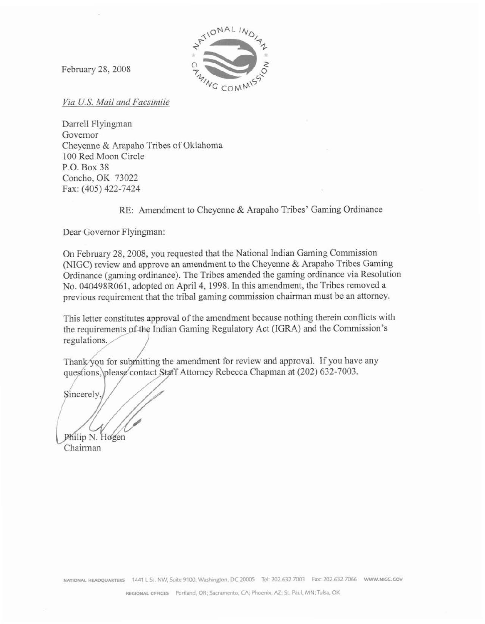

February 28,2008

**Vin** *EI. S. Moil and Facs'im ile* 

Darrell Flyingman Governor Cheyenne & Arapaho Tribes of Oklahoma 100 Red Moon Circle P.O. Box **38**  Concho, OK 73022 Fax: (405) 422-7424

RE: Amendment to Cheyenne & Arapaho Tribes' Gaming Ordinance

Dear Governor Flyingman:

**On** February 28,2008, you requested that the National Indian Gaming Commission (NIGC) review and **approve** an amendment to the Cheyenne & **Arapaho** Tribes Gaming Ordinance (gaming ordinance). The Tribes amended the gaming ordinance via Resolution No. 040498R061, adopted on **April 4,1998.** In this amendment, the Tribes removed **a**  previous requirement that the tribal gaming commission chairman **must** be an attorney.

This letter constitutes approval of the amendment because nothing therein conflicts with the requirements of the Indian Gaming Regulatory Act (IGRA) and the Commission's regulations.

Thank/you for submitting the amendment for review and approval. If you have any questions, please contact Staff Attorney Rebecca Chapman at (202) 632-7003.

Sincerely

Philip N. Hogen

Chairman

**NATIONAL HEADQUARTERS** 1441 L St. NW, Suite 9100, Washington, DC 20005 Tel: 202.632.7003 Fax: 202.632.7066 www.nicc.cov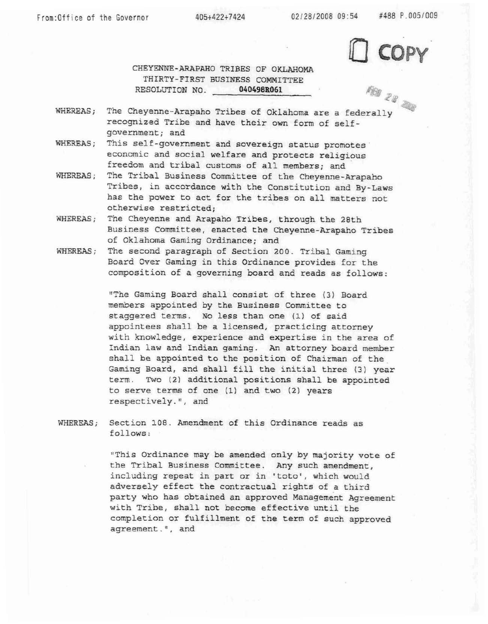<sup>9</sup>**o** - **<sup>b</sup>r,-** 

**CHEYEXNE-ARAPAHO TRIBES OF QKLAHQW THIRTY-FIRST BUSINESS COMMITTEE RESOLUTION NO. 040498R061** 

- **WEREAS;** The **Cheyenne-Arapaho Tribes of Oklahoma are a federally recognized** Tribe **and have** their own **form** of **self**government; and
- **WHEREAS; This self-government and sovereign** status **promotes. economic and social** welfare and protects **religious freedom and tribal customs of a11 members;** and
- **WHEREAS; The Tribal Business Committee of the Cheyenne-Arapaho**  Tribes, **in accordance** with **the Constitution and By-Laws has the power to act** for **the** tribes **on all matters not otherwise restricted;**
- **WHEREAS; The Cheyenne** and **Axapaha Tribes,** through **the 28th Business Committee, enacted** the **Cheyenne-Arapaho Tribes of** Oklahoma **Gaming Ordinance;** and
- **WHEREAS;** The **second paragraph** of **Section 200. Tribal Gaming**  Board Over Gaming in this Ordinance provides for the **composition of a governing board and reads as follows:**

**lTThe Gaming Board shall consist of** three **(3) Board members appointed by** the **Business Committee ta**  staggered terms. No less than one (1) of said **appointees shall be a licensed, practicing attorney with knowledge, experience and** expertise **in** the **area of Indian** law **and** Indian **gaming. An** attorney board **member shall he appointed to the position of Chairman of the Gaming Board,** and **shall fill the** initial **thxee** t3) **year**  term. Two (2) additional positions shall be appointed **to serve terms of one (1) and** two (2) years **respectively** . " , **and** 

**WHEREAS;** Section **108. Amendment of** this **Ordinance reads as follows** :

> **"This** Ordinance **may be amended only by** majority **vote of the** Tribal **Business** Camittee. **Any such amendment,**  including repeat **in** part **ox in** "teto', **which would adversely** effect **the** contractual **rights of** a **third party wha has obtained** an **approved Management Agreement with Tribe,** shall **not become effective** until the completion **or fulfillment of the tern** of **such approved**  agreement.<sup>"</sup>, and